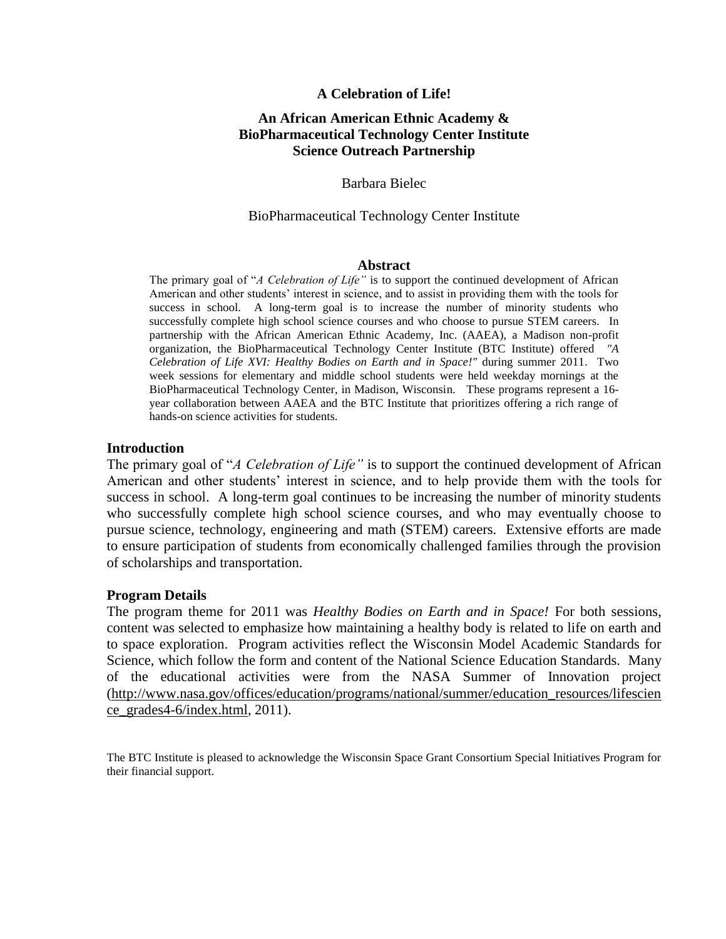## **A Celebration of Life!**

# **An African American Ethnic Academy & BioPharmaceutical Technology Center Institute Science Outreach Partnership**

## Barbara Bielec

### BioPharmaceutical Technology Center Institute

#### **Abstract**

The primary goal of "*A Celebration of Life"* is to support the continued development of African American and other students' interest in science, and to assist in providing them with the tools for success in school. A long-term goal is to increase the number of minority students who successfully complete high school science courses and who choose to pursue STEM careers. In partnership with the African American Ethnic Academy, Inc. (AAEA), a Madison non-profit organization, the BioPharmaceutical Technology Center Institute (BTC Institute) offered *"A Celebration of Life XVI: Healthy Bodies on Earth and in Space!"* during summer 2011. Two week sessions for elementary and middle school students were held weekday mornings at the BioPharmaceutical Technology Center, in Madison, Wisconsin. These programs represent a 16 year collaboration between AAEA and the BTC Institute that prioritizes offering a rich range of hands-on science activities for students.

#### **Introduction**

The primary goal of "*A Celebration of Life"* is to support the continued development of African American and other students' interest in science, and to help provide them with the tools for success in school. A long-term goal continues to be increasing the number of minority students who successfully complete high school science courses, and who may eventually choose to pursue science, technology, engineering and math (STEM) careers. Extensive efforts are made to ensure participation of students from economically challenged families through the provision of scholarships and transportation.

### **Program Details**

The program theme for 2011 was *Healthy Bodies on Earth and in Space!* For both sessions, content was selected to emphasize how maintaining a healthy body is related to life on earth and to space exploration. Program activities reflect the Wisconsin Model Academic Standards for Science, which follow the form and content of the National Science Education Standards. Many of the educational activities were from the NASA Summer of Innovation project [\(http://www.nasa.gov/offices/education/programs/national/summer/education\\_resources/lifescien](http://www.nasa.gov/offices/education/programs/national/summer/education_resources/lifescience_grades4-6/index.html) [ce\\_grades4-6/index.html,](http://www.nasa.gov/offices/education/programs/national/summer/education_resources/lifescience_grades4-6/index.html) 2011).

The BTC Institute is pleased to acknowledge the Wisconsin Space Grant Consortium Special Initiatives Program for their financial support.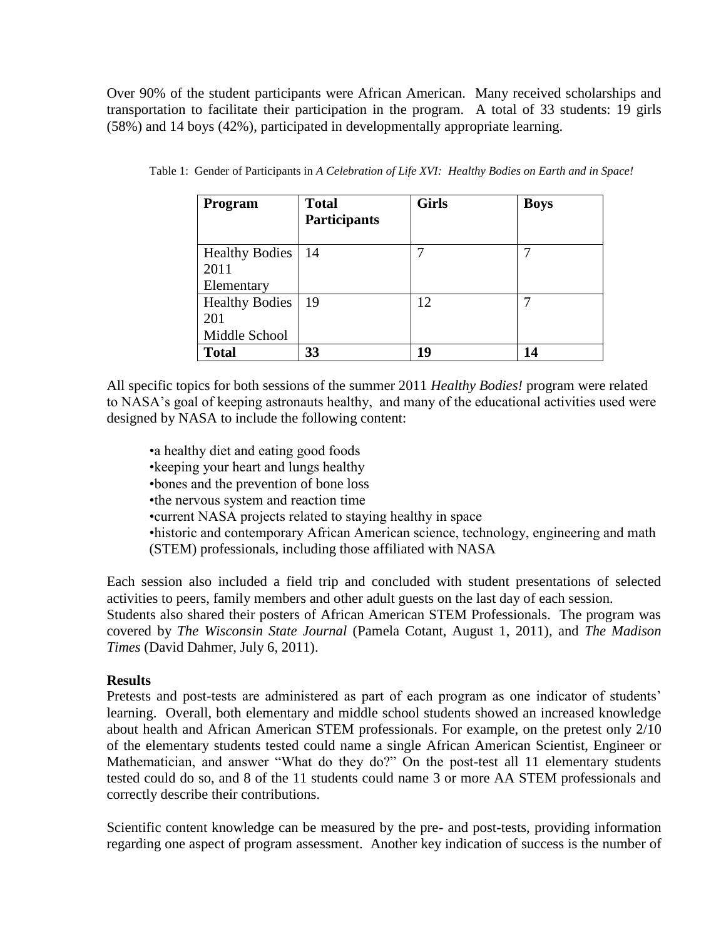Over 90% of the student participants were African American. Many received scholarships and transportation to facilitate their participation in the program. A total of 33 students: 19 girls (58%) and 14 boys (42%), participated in developmentally appropriate learning.

| Program                       | <b>Total</b><br><b>Participants</b> | <b>Girls</b> | <b>Boys</b> |
|-------------------------------|-------------------------------------|--------------|-------------|
| <b>Healthy Bodies</b><br>2011 | 14                                  |              | 7           |
| Elementary                    |                                     |              |             |
| <b>Healthy Bodies</b><br>201  | 19                                  | 12           | 7           |
| Middle School                 |                                     |              |             |
| <b>Total</b>                  | 33                                  | 19           | 14          |

| Table 1: Gender of Participants in A Celebration of Life XVI: Healthy Bodies on Earth and in Space! |  |  |  |
|-----------------------------------------------------------------------------------------------------|--|--|--|
|                                                                                                     |  |  |  |

All specific topics for both sessions of the summer 2011 *Healthy Bodies!* program were related to NASA's goal of keeping astronauts healthy, and many of the educational activities used were designed by NASA to include the following content:

• a healthy diet and eating good foods •keeping your heart and lungs healthy •bones and the prevention of bone loss •the nervous system and reaction time •current NASA projects related to staying healthy in space •historic and contemporary African American science, technology, engineering and math (STEM) professionals, including those affiliated with NASA

Each session also included a field trip and concluded with student presentations of selected activities to peers, family members and other adult guests on the last day of each session. Students also shared their posters of African American STEM Professionals. The program was covered by *The Wisconsin State Journal* (Pamela Cotant, August 1, 2011)*,* and *The Madison Times* (David Dahmer, July 6, 2011).

## **Results**

Pretests and post-tests are administered as part of each program as one indicator of students' learning. Overall, both elementary and middle school students showed an increased knowledge about health and African American STEM professionals. For example, on the pretest only 2/10 of the elementary students tested could name a single African American Scientist, Engineer or Mathematician, and answer "What do they do?" On the post-test all 11 elementary students tested could do so, and 8 of the 11 students could name 3 or more AA STEM professionals and correctly describe their contributions.

Scientific content knowledge can be measured by the pre- and post-tests, providing information regarding one aspect of program assessment. Another key indication of success is the number of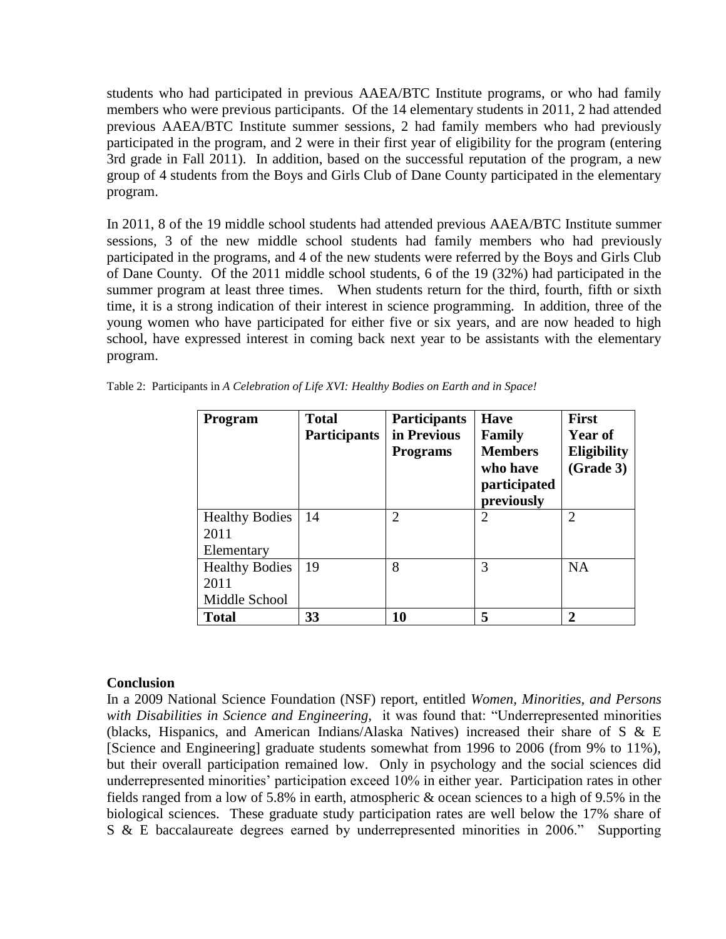students who had participated in previous AAEA/BTC Institute programs, or who had family members who were previous participants. Of the 14 elementary students in 2011, 2 had attended previous AAEA/BTC Institute summer sessions, 2 had family members who had previously participated in the program, and 2 were in their first year of eligibility for the program (entering 3rd grade in Fall 2011). In addition, based on the successful reputation of the program, a new group of 4 students from the Boys and Girls Club of Dane County participated in the elementary program.

In 2011, 8 of the 19 middle school students had attended previous AAEA/BTC Institute summer sessions, 3 of the new middle school students had family members who had previously participated in the programs, and 4 of the new students were referred by the Boys and Girls Club of Dane County. Of the 2011 middle school students, 6 of the 19 (32%) had participated in the summer program at least three times. When students return for the third, fourth, fifth or sixth time, it is a strong indication of their interest in science programming. In addition, three of the young women who have participated for either five or six years, and are now headed to high school, have expressed interest in coming back next year to be assistants with the elementary program.

| Program                       | <b>Total</b><br><b>Participants</b> | Participants<br>in Previous<br><b>Programs</b> | <b>Have</b><br>Family<br><b>Members</b><br>who have<br>participated<br>previously | <b>First</b><br><b>Year of</b><br><b>Eligibility</b><br>(Grade 3) |
|-------------------------------|-------------------------------------|------------------------------------------------|-----------------------------------------------------------------------------------|-------------------------------------------------------------------|
| <b>Healthy Bodies</b><br>2011 | 14                                  | $\overline{2}$                                 | $\overline{2}$                                                                    | $\overline{2}$                                                    |
| Elementary                    |                                     |                                                |                                                                                   |                                                                   |
| <b>Healthy Bodies</b>         | 19                                  | 8                                              | 3                                                                                 | <b>NA</b>                                                         |
| 2011                          |                                     |                                                |                                                                                   |                                                                   |
| Middle School                 |                                     |                                                |                                                                                   |                                                                   |
| <b>Total</b>                  | 33                                  | 10                                             | 5                                                                                 | 2                                                                 |

Table 2: Participants in *A Celebration of Life XVI: Healthy Bodies on Earth and in Space!*

## **Conclusion**

In a 2009 National Science Foundation (NSF) report, entitled *Women, Minorities, and Persons with Disabilities in Science and Engineering,* it was found that: "Underrepresented minorities (blacks, Hispanics, and American Indians/Alaska Natives) increased their share of S & E [Science and Engineering] graduate students somewhat from 1996 to 2006 (from 9% to 11%), but their overall participation remained low. Only in psychology and the social sciences did underrepresented minorities' participation exceed 10% in either year. Participation rates in other fields ranged from a low of 5.8% in earth, atmospheric & ocean sciences to a high of 9.5% in the biological sciences. These graduate study participation rates are well below the 17% share of S & E baccalaureate degrees earned by underrepresented minorities in 2006." Supporting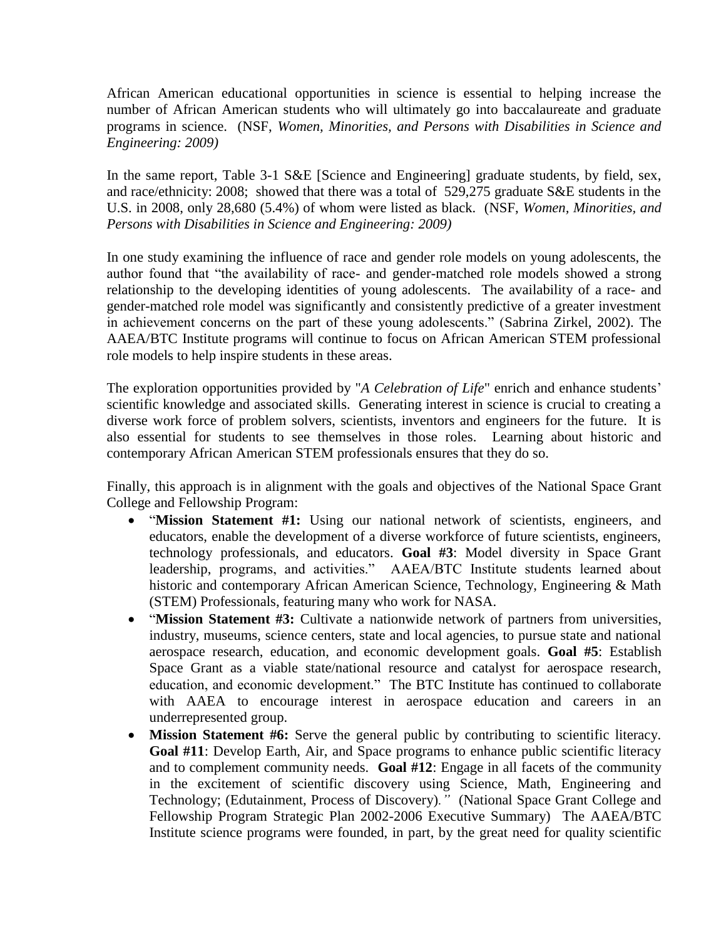African American educational opportunities in science is essential to helping increase the number of African American students who will ultimately go into baccalaureate and graduate programs in science. (NSF, *Women, Minorities, and Persons with Disabilities in Science and Engineering: 2009)*

In the same report, Table 3-1 S&E [Science and Engineering] graduate students, by field, sex, and race/ethnicity: 2008; showed that there was a total of 529,275 graduate S&E students in the U.S. in 2008, only 28,680 (5.4%) of whom were listed as black. (NSF, *Women, Minorities, and Persons with Disabilities in Science and Engineering: 2009)*

In one study examining the influence of race and gender role models on young adolescents, the author found that "the availability of race- and gender-matched role models showed a strong relationship to the developing identities of young adolescents. The availability of a race- and gender-matched role model was significantly and consistently predictive of a greater investment in achievement concerns on the part of these young adolescents." (Sabrina Zirkel, 2002). The AAEA/BTC Institute programs will continue to focus on African American STEM professional role models to help inspire students in these areas.

The exploration opportunities provided by "*A Celebration of Life*" enrich and enhance students' scientific knowledge and associated skills. Generating interest in science is crucial to creating a diverse work force of problem solvers, scientists, inventors and engineers for the future. It is also essential for students to see themselves in those roles. Learning about historic and contemporary African American STEM professionals ensures that they do so.

Finally, this approach is in alignment with the goals and objectives of the National Space Grant College and Fellowship Program:

- "Mission Statement #1: Using our national network of scientists, engineers, and educators, enable the development of a diverse workforce of future scientists, engineers, technology professionals, and educators. **Goal #3**: Model diversity in Space Grant leadership, programs, and activities." AAEA/BTC Institute students learned about historic and contemporary African American Science, Technology, Engineering & Math (STEM) Professionals, featuring many who work for NASA.
- "Mission Statement #3: Cultivate a nationwide network of partners from universities, industry, museums, science centers, state and local agencies, to pursue state and national aerospace research, education, and economic development goals. **Goal #5**: Establish Space Grant as a viable state/national resource and catalyst for aerospace research, education, and economic development."The BTC Institute has continued to collaborate with AAEA to encourage interest in aerospace education and careers in an underrepresented group.
- **Mission Statement #6:** Serve the general public by contributing to scientific literacy. **Goal #11**: Develop Earth, Air, and Space programs to enhance public scientific literacy and to complement community needs. **Goal #12**: Engage in all facets of the community in the excitement of scientific discovery using Science, Math, Engineering and Technology; (Edutainment, Process of Discovery)*."* (National Space Grant College and Fellowship Program Strategic Plan 2002-2006 Executive Summary) The AAEA/BTC Institute science programs were founded, in part, by the great need for quality scientific